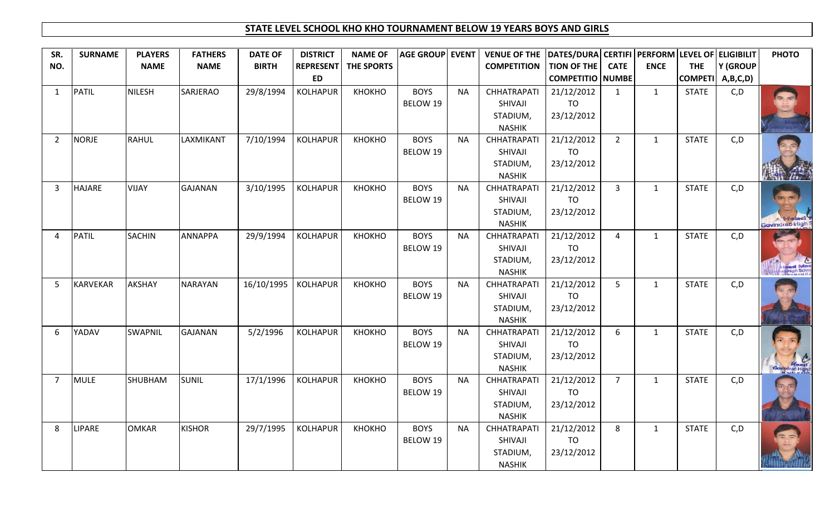## **STATE LEVEL SCHOOL KHO KHO TOURNAMENT BELOW 19 YEARS BOYS AND GIRLS**

| SR.            | <b>SURNAME</b> | <b>PLAYERS</b> | <b>FATHERS</b>  | <b>DATE OF</b> | <b>DISTRICT</b>  | <b>NAME OF</b>    | AGE GROUP EVENT |           | VENUE OF THE  DATES/DURA  CERTIFI   PERFORM   LEVEL OF   ELIGIBILIT |                         |                |              |              |                                          | <b>PHOTO</b>     |
|----------------|----------------|----------------|-----------------|----------------|------------------|-------------------|-----------------|-----------|---------------------------------------------------------------------|-------------------------|----------------|--------------|--------------|------------------------------------------|------------------|
| NO.            |                | <b>NAME</b>    | <b>NAME</b>     | <b>BIRTH</b>   | <b>REPRESENT</b> | <b>THE SPORTS</b> |                 |           | <b>COMPETITION</b>                                                  | TION OF THE             | <b>CATE</b>    | <b>ENCE</b>  | <b>THE</b>   | Y (GROUP                                 |                  |
|                |                |                |                 |                | <b>ED</b>        |                   |                 |           |                                                                     | <b>COMPETITIO NUMBE</b> |                |              |              | $\textsf{COMPETI} \mid \textsf{A,B,C,D}$ |                  |
| 1              | PATIL          | <b>NILESH</b>  | <b>SARJERAO</b> | 29/8/1994      | <b>KOLHAPUR</b>  | КНОКНО            | <b>BOYS</b>     | <b>NA</b> | <b>CHHATRAPATI</b>                                                  | 21/12/2012              | $\mathbf{1}$   | $\mathbf{1}$ | <b>STATE</b> | C, D                                     |                  |
|                |                |                |                 |                |                  |                   | BELOW 19        |           | SHIVAJI                                                             | TO                      |                |              |              |                                          |                  |
|                |                |                |                 |                |                  |                   |                 |           | STADIUM,                                                            | 23/12/2012              |                |              |              |                                          |                  |
|                |                |                |                 |                |                  |                   |                 |           | <b>NASHIK</b>                                                       |                         |                |              |              |                                          |                  |
| $\overline{2}$ | <b>NORJE</b>   | <b>RAHUL</b>   | LAXMIKANT       | 7/10/1994      | KOLHAPUR         | КНОКНО            | <b>BOYS</b>     | <b>NA</b> | <b>CHHATRAPATI</b>                                                  | 21/12/2012              | $\overline{2}$ | $\mathbf{1}$ | <b>STATE</b> | C, D                                     |                  |
|                |                |                |                 |                |                  |                   | BELOW 19        |           | SHIVAJI                                                             | TO                      |                |              |              |                                          |                  |
|                |                |                |                 |                |                  |                   |                 |           | STADIUM,                                                            | 23/12/2012              |                |              |              |                                          |                  |
|                |                |                |                 |                |                  |                   |                 |           | <b>NASHIK</b>                                                       |                         |                |              |              |                                          |                  |
| 3              | <b>HAJARE</b>  | <b>VIJAY</b>   | <b>GAJANAN</b>  | 3/10/1995      | <b>KOLHAPUR</b>  | КНОКНО            | <b>BOYS</b>     | <b>NA</b> | <b>CHHATRAPATI</b>                                                  | 21/12/2012              | $\overline{3}$ | $\mathbf{1}$ | <b>STATE</b> | C, D                                     |                  |
|                |                |                |                 |                |                  |                   | BELOW 19        |           | SHIVAJI                                                             | TO                      |                |              |              |                                          |                  |
|                |                |                |                 |                |                  |                   |                 |           | STADIUM,                                                            | 23/12/2012              |                |              |              |                                          |                  |
|                |                |                |                 |                |                  |                   |                 |           | <b>NASHIK</b>                                                       |                         |                |              |              |                                          | Govindrao High S |
| 4              | <b>PATIL</b>   | <b>SACHIN</b>  | <b>ANNAPPA</b>  | 29/9/1994      | <b>KOLHAPUR</b>  | КНОКНО            | <b>BOYS</b>     | <b>NA</b> | <b>CHHATRAPATI</b>                                                  | 21/12/2012              | $\overline{4}$ | $\mathbf{1}$ | <b>STATE</b> | C, D                                     |                  |
|                |                |                |                 |                |                  |                   | BELOW 19        |           | SHIVAJI                                                             | TO                      |                |              |              |                                          |                  |
|                |                |                |                 |                |                  |                   |                 |           | STADIUM,                                                            | 23/12/2012              |                |              |              |                                          |                  |
|                |                |                |                 |                |                  |                   | <b>BOYS</b>     |           | <b>NASHIK</b>                                                       |                         |                |              |              |                                          |                  |
| $\overline{5}$ | KARVEKAR       | AKSHAY         | <b>NARAYAN</b>  | 16/10/1995     | KOLHAPUR         | KHOKHO            | BELOW 19        | <b>NA</b> | <b>CHHATRAPATI</b><br>SHIVAJI                                       | 21/12/2012<br>TO        | 5 <sup>1</sup> | $\mathbf{1}$ | <b>STATE</b> | C, D                                     |                  |
|                |                |                |                 |                |                  |                   |                 |           | STADIUM,                                                            | 23/12/2012              |                |              |              |                                          |                  |
|                |                |                |                 |                |                  |                   |                 |           | <b>NASHIK</b>                                                       |                         |                |              |              |                                          |                  |
| 6              | YADAV          | <b>SWAPNIL</b> | <b>GAJANAN</b>  | 5/2/1996       | <b>KOLHAPUR</b>  | КНОКНО            | <b>BOYS</b>     | <b>NA</b> | <b>CHHATRAPATI</b>                                                  | 21/12/2012              | 6              | $\mathbf{1}$ | <b>STATE</b> | C, D                                     |                  |
|                |                |                |                 |                |                  |                   | BELOW 19        |           | SHIVAJI                                                             | TO                      |                |              |              |                                          |                  |
|                |                |                |                 |                |                  |                   |                 |           | STADIUM,                                                            | 23/12/2012              |                |              |              |                                          |                  |
|                |                |                |                 |                |                  |                   |                 |           | <b>NASHIK</b>                                                       |                         |                |              |              |                                          |                  |
| $\overline{7}$ | <b>MULE</b>    | SHUBHAM        | <b>SUNIL</b>    | 17/1/1996      | KOLHAPUR         | КНОКНО            | <b>BOYS</b>     | <b>NA</b> | <b>CHHATRAPATI</b>                                                  | 21/12/2012              | $\overline{7}$ | $\mathbf{1}$ | <b>STATE</b> | C, D                                     |                  |
|                |                |                |                 |                |                  |                   | BELOW 19        |           | SHIVAJI                                                             | <b>TO</b>               |                |              |              |                                          |                  |
|                |                |                |                 |                |                  |                   |                 |           | STADIUM,                                                            | 23/12/2012              |                |              |              |                                          |                  |
|                |                |                |                 |                |                  |                   |                 |           | <b>NASHIK</b>                                                       |                         |                |              |              |                                          |                  |
| 8              | <b>LIPARE</b>  | <b>OMKAR</b>   | <b>KISHOR</b>   | 29/7/1995      | <b>KOLHAPUR</b>  | КНОКНО            | <b>BOYS</b>     | <b>NA</b> | <b>CHHATRAPATI</b>                                                  | 21/12/2012              | 8              | $\mathbf{1}$ | <b>STATE</b> | C, D                                     |                  |
|                |                |                |                 |                |                  |                   | <b>BELOW 19</b> |           | SHIVAJI                                                             | TO                      |                |              |              |                                          |                  |
|                |                |                |                 |                |                  |                   |                 |           | STADIUM,                                                            | 23/12/2012              |                |              |              |                                          |                  |
|                |                |                |                 |                |                  |                   |                 |           | <b>NASHIK</b>                                                       |                         |                |              |              |                                          |                  |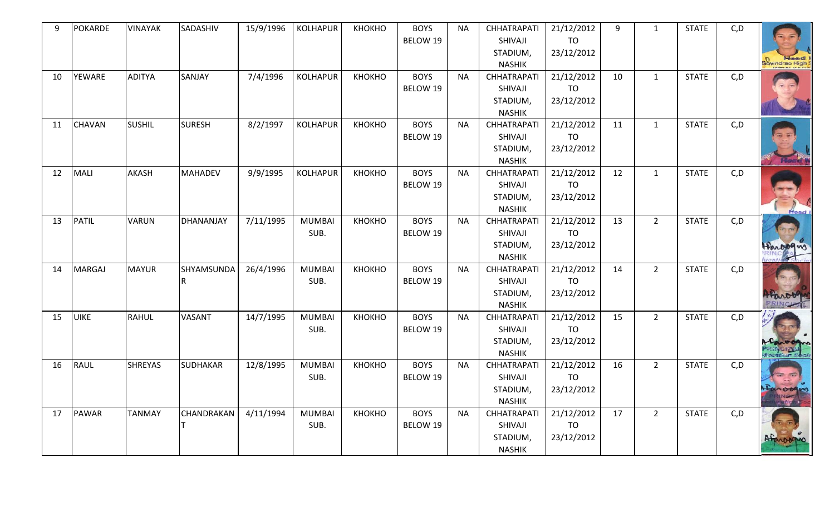| q  | <b>POKARDE</b> | <b>VINAYAK</b> | SADASHIV        | 15/9/1996 | <b>KOLHAPUR</b>       | КНОКНО | <b>BOYS</b><br>BELOW 19 | <b>NA</b> | <b>CHHATRAPATI</b><br>SHIVAJI<br>STADIUM,                                   | 21/12/2012<br><b>TO</b><br>23/12/2012 | 9  | 1            | <b>STATE</b> | C, D | <b>Headard</b>     |
|----|----------------|----------------|-----------------|-----------|-----------------------|--------|-------------------------|-----------|-----------------------------------------------------------------------------|---------------------------------------|----|--------------|--------------|------|--------------------|
| 10 | YEWARE         | <b>ADITYA</b>  | SANJAY          | 7/4/1996  | <b>KOLHAPUR</b>       | КНОКНО | <b>BOYS</b><br>BELOW 19 | <b>NA</b> | <b>NASHIK</b><br><b>CHHATRAPATI</b><br>SHIVAJI<br>STADIUM,<br><b>NASHIK</b> | 21/12/2012<br><b>TO</b><br>23/12/2012 | 10 | $\mathbf{1}$ | <b>STATE</b> | C, D | Govindrao High     |
| 11 | <b>CHAVAN</b>  | <b>SUSHIL</b>  | <b>SURESH</b>   | 8/2/1997  | <b>KOLHAPUR</b>       | КНОКНО | <b>BOYS</b><br>BELOW 19 | <b>NA</b> | <b>CHHATRAPATI</b><br>SHIVAJI<br>STADIUM,<br><b>NASHIK</b>                  | 21/12/2012<br><b>TO</b><br>23/12/2012 | 11 | $\mathbf{1}$ | <b>STATE</b> | C, D |                    |
| 12 | MALI           | AKASH          | <b>MAHADEV</b>  | 9/9/1995  | <b>KOLHAPUR</b>       | КНОКНО | <b>BOYS</b><br>BELOW 19 | <b>NA</b> | <b>CHHATRAPATI</b><br>SHIVAJI<br>STADIUM,<br><b>NASHIK</b>                  | 21/12/2012<br><b>TO</b><br>23/12/2012 | 12 | $\mathbf{1}$ | <b>STATE</b> | C, D | Head               |
| 13 | PATIL          | <b>VARUN</b>   | DHANANJAY       | 7/11/1995 | <b>MUMBAI</b><br>SUB. | КНОКНО | <b>BOYS</b><br>BELOW 19 | <b>NA</b> | <b>CHHATRAPATI</b><br>SHIVAJI<br>STADIUM,<br><b>NASHIK</b>                  | 21/12/2012<br>TO<br>23/12/2012        | 13 | $2^{\circ}$  | <b>STATE</b> | C, D | Haropans           |
| 14 | <b>MARGAJ</b>  | <b>MAYUR</b>   | SHYAMSUNDA      | 26/4/1996 | <b>MUMBAI</b><br>SUB. | КНОКНО | <b>BOYS</b><br>BELOW 19 | <b>NA</b> | <b>CHHATRAPATI</b><br>SHIVAJI<br>STADIUM,<br><b>NASHIK</b>                  | 21/12/2012<br><b>TO</b><br>23/12/2012 | 14 | $2^{\circ}$  | <b>STATE</b> | C, D | Haroo<br>PRINCHTL  |
| 15 | <b>UIKE</b>    | <b>RAHUL</b>   | VASANT          | 14/7/1995 | <b>MUMBAI</b><br>SUB. | КНОКНО | <b>BOYS</b><br>BELOW 19 | <b>NA</b> | <b>CHHATRAPATI</b><br>SHIVAJI<br>STADIUM,<br><b>NASHIK</b>                  | 21/12/2012<br><b>TO</b><br>23/12/2012 | 15 | $2^{\circ}$  | <b>STATE</b> | C, D | 0.000<br>PRINCIPLE |
| 16 | <b>RAUL</b>    | <b>SHREYAS</b> | <b>SUDHAKAR</b> | 12/8/1995 | <b>MUMBAI</b><br>SUB. | КНОКНО | <b>BOYS</b><br>BELOW 19 | <b>NA</b> | <b>CHHATRAPATI</b><br>SHIVAJI<br>STADIUM,<br><b>NASHIK</b>                  | 21/12/2012<br><b>TO</b><br>23/12/2012 | 16 | $2^{\circ}$  | <b>STATE</b> | C, D | $-50$<br>taroogue  |
| 17 | <b>PAWAR</b>   | <b>TANMAY</b>  | CHANDRAKAN      | 4/11/1994 | <b>MUMBAI</b><br>SUB. | КНОКНО | <b>BOYS</b><br>BELOW 19 | <b>NA</b> | <b>CHHATRAPATI</b><br>SHIVAJI<br>STADIUM,<br><b>NASHIK</b>                  | 21/12/2012<br><b>TO</b><br>23/12/2012 | 17 | $2^{\circ}$  | <b>STATE</b> | C, D | Afarooppo          |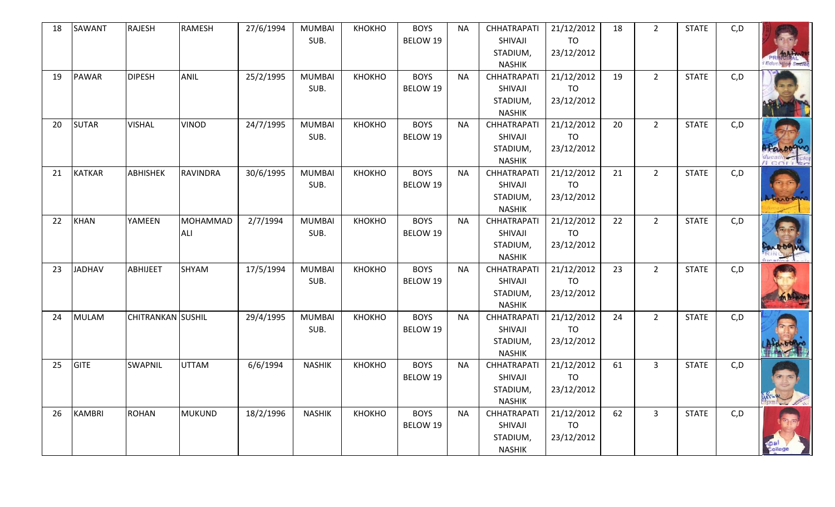| 18 | SAWANT        | <b>RAJESH</b>            | <b>RAMESH</b>   | 27/6/1994 | <b>MUMBAI</b><br>SUB. | КНОКНО | <b>BOYS</b> | <b>NA</b> | <b>CHHATRAPATI</b><br>SHIVAJI       | 21/12/2012<br><b>TO</b> | 18 | $2^{\circ}$    | <b>STATE</b> | C, D |             |
|----|---------------|--------------------------|-----------------|-----------|-----------------------|--------|-------------|-----------|-------------------------------------|-------------------------|----|----------------|--------------|------|-------------|
|    |               |                          |                 |           |                       |        | BELOW 19    |           | STADIUM,                            | 23/12/2012              |    |                |              |      |             |
|    |               |                          |                 |           |                       |        |             |           | <b>NASHIK</b>                       |                         |    |                |              |      |             |
| 19 | <b>PAWAR</b>  | <b>DIPESH</b>            | <b>ANIL</b>     | 25/2/1995 | <b>MUMBAI</b>         | КНОКНО | <b>BOYS</b> | <b>NA</b> | <b>CHHATRAPATI</b>                  | 21/12/2012              | 19 | $2^{\circ}$    | <b>STATE</b> | C, D |             |
|    |               |                          |                 |           | SUB.                  |        | BELOW 19    |           | SHIVAJI                             | <b>TO</b>               |    |                |              |      |             |
|    |               |                          |                 |           |                       |        |             |           | STADIUM,                            | 23/12/2012              |    |                |              |      |             |
|    |               |                          |                 |           |                       |        |             |           | <b>NASHIK</b>                       |                         |    |                |              |      |             |
| 20 | <b>SUTAR</b>  | <b>VISHAL</b>            | <b>VINOD</b>    | 24/7/1995 | <b>MUMBAI</b>         | КНОКНО | <b>BOYS</b> | <b>NA</b> | <b>CHHATRAPATI</b>                  | 21/12/2012              | 20 | $2^{\circ}$    | <b>STATE</b> | C, D |             |
|    |               |                          |                 |           | SUB.                  |        | BELOW 19    |           | SHIVAJI                             | TO                      |    |                |              |      |             |
|    |               |                          |                 |           |                       |        |             |           | STADIUM,                            | 23/12/2012              |    |                |              |      |             |
|    |               |                          |                 |           |                       |        |             |           | <b>NASHIK</b>                       |                         |    |                |              |      | $\pi$ corre |
| 21 | <b>KATKAR</b> | <b>ABHISHEK</b>          | <b>RAVINDRA</b> | 30/6/1995 | <b>MUMBAI</b>         | КНОКНО | <b>BOYS</b> | <b>NA</b> | <b>CHHATRAPATI</b>                  | 21/12/2012              | 21 | $2^{\circ}$    | <b>STATE</b> | C, D |             |
|    |               |                          |                 |           | SUB.                  |        | BELOW 19    |           | SHIVAJI                             | <b>TO</b>               |    |                |              |      |             |
|    |               |                          |                 |           |                       |        |             |           | STADIUM,                            | 23/12/2012              |    |                |              |      |             |
| 22 | <b>KHAN</b>   | YAMEEN                   | MOHAMMAD        | 2/7/1994  | <b>MUMBAI</b>         | КНОКНО | <b>BOYS</b> | <b>NA</b> | <b>NASHIK</b><br><b>CHHATRAPATI</b> | 21/12/2012              | 22 | $2^{\circ}$    | <b>STATE</b> | C, D |             |
|    |               |                          | ALI             |           | SUB.                  |        | BELOW 19    |           | SHIVAJI                             | TO                      |    |                |              |      |             |
|    |               |                          |                 |           |                       |        |             |           | STADIUM,                            | 23/12/2012              |    |                |              |      |             |
|    |               |                          |                 |           |                       |        |             |           | <b>NASHIK</b>                       |                         |    |                |              |      |             |
| 23 | <b>JADHAV</b> | ABHIJEET                 | SHYAM           | 17/5/1994 | <b>MUMBAI</b>         | КНОКНО | <b>BOYS</b> | <b>NA</b> | <b>CHHATRAPATI</b>                  | 21/12/2012              | 23 | $2^{\circ}$    | <b>STATE</b> | C, D |             |
|    |               |                          |                 |           | SUB.                  |        | BELOW 19    |           | SHIVAJI                             | <b>TO</b>               |    |                |              |      |             |
|    |               |                          |                 |           |                       |        |             |           | STADIUM,                            | 23/12/2012              |    |                |              |      | man         |
|    |               |                          |                 |           |                       |        |             |           | <b>NASHIK</b>                       |                         |    |                |              |      |             |
| 24 | <b>MULAM</b>  | <b>CHITRANKAN SUSHIL</b> |                 | 29/4/1995 | <b>MUMBAI</b>         | КНОКНО | <b>BOYS</b> | <b>NA</b> | <b>CHHATRAPATI</b>                  | 21/12/2012              | 24 | $2^{\circ}$    | <b>STATE</b> | C, D |             |
|    |               |                          |                 |           | SUB.                  |        | BELOW 19    |           | SHIVAJI                             | TO                      |    |                |              |      |             |
|    |               |                          |                 |           |                       |        |             |           | STADIUM,                            | 23/12/2012              |    |                |              |      |             |
|    |               |                          |                 |           |                       |        |             |           | <b>NASHIK</b>                       |                         |    |                |              |      |             |
| 25 | <b>GITE</b>   | <b>SWAPNIL</b>           | <b>UTTAM</b>    | 6/6/1994  | <b>NASHIK</b>         | КНОКНО | <b>BOYS</b> | <b>NA</b> | <b>CHHATRAPATI</b>                  | 21/12/2012              | 61 | $\overline{3}$ | <b>STATE</b> | C, D |             |
|    |               |                          |                 |           |                       |        | BELOW 19    |           | SHIVAJI                             | TO                      |    |                |              |      |             |
|    |               |                          |                 |           |                       |        |             |           | STADIUM,<br><b>NASHIK</b>           | 23/12/2012              |    |                |              |      |             |
| 26 | <b>KAMBRI</b> | <b>ROHAN</b>             | <b>MUKUND</b>   | 18/2/1996 | <b>NASHIK</b>         | КНОКНО | <b>BOYS</b> | <b>NA</b> | <b>CHHATRAPATI</b>                  | 21/12/2012              | 62 | $\mathbf{3}$   | <b>STATE</b> | C, D |             |
|    |               |                          |                 |           |                       |        | BELOW 19    |           | SHIVAJI                             | TO                      |    |                |              |      |             |
|    |               |                          |                 |           |                       |        |             |           | STADIUM,                            | 23/12/2012              |    |                |              |      |             |
|    |               |                          |                 |           |                       |        |             |           | <b>NASHIK</b>                       |                         |    |                |              |      |             |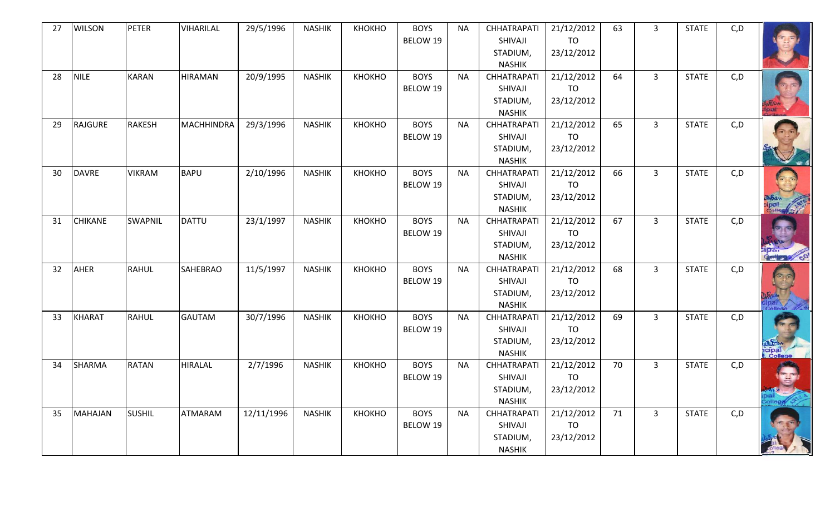| 27 | <b>WILSON</b>  | <b>PETER</b>   | <b>VIHARILAL</b>  | 29/5/1996  | <b>NASHIK</b> | КНОКНО | <b>BOYS</b><br>BELOW 19 | <b>NA</b> | <b>CHHATRAPATI</b><br>SHIVAJI<br>STADIUM,<br><b>NASHIK</b> | 21/12/2012<br><b>TO</b><br>23/12/2012 | 63 | $\mathbf{3}$   | <b>STATE</b> | C, D |                       |
|----|----------------|----------------|-------------------|------------|---------------|--------|-------------------------|-----------|------------------------------------------------------------|---------------------------------------|----|----------------|--------------|------|-----------------------|
| 28 | <b>NILE</b>    | <b>KARAN</b>   | <b>HIRAMAN</b>    | 20/9/1995  | <b>NASHIK</b> | КНОКНО | <b>BOYS</b><br>BELOW 19 | <b>NA</b> | <b>CHHATRAPATI</b><br>SHIVAJI<br>STADIUM,<br><b>NASHIK</b> | 21/12/2012<br><b>TO</b><br>23/12/2012 | 64 | $\overline{3}$ | <b>STATE</b> | C, D |                       |
| 29 | <b>RAJGURE</b> | <b>RAKESH</b>  | <b>MACHHINDRA</b> | 29/3/1996  | <b>NASHIK</b> | КНОКНО | <b>BOYS</b><br>BELOW 19 | <b>NA</b> | <b>CHHATRAPATI</b><br>SHIVAJI<br>STADIUM,<br><b>NASHIK</b> | 21/12/2012<br><b>TO</b><br>23/12/2012 | 65 | $\overline{3}$ | <b>STATE</b> | C, D |                       |
| 30 | <b>DAVRE</b>   | <b>VIKRAM</b>  | <b>BAPU</b>       | 2/10/1996  | <b>NASHIK</b> | КНОКНО | <b>BOYS</b><br>BELOW 19 | <b>NA</b> | <b>CHHATRAPATI</b><br>SHIVAJI<br>STADIUM,<br><b>NASHIK</b> | 21/12/2012<br>TO<br>23/12/2012        | 66 | $\mathbf{3}$   | <b>STATE</b> | C, D |                       |
| 31 | <b>CHIKANE</b> | <b>SWAPNIL</b> | <b>DATTU</b>      | 23/1/1997  | <b>NASHIK</b> | КНОКНО | <b>BOYS</b><br>BELOW 19 | <b>NA</b> | <b>CHHATRAPATI</b><br>SHIVAJI<br>STADIUM,<br><b>NASHIK</b> | 21/12/2012<br>TO<br>23/12/2012        | 67 | $\overline{3}$ | <b>STATE</b> | C, D | ్ర<br><b>Gertiers</b> |
| 32 | <b>AHER</b>    | <b>RAHUL</b>   | <b>SAHEBRAO</b>   | 11/5/1997  | <b>NASHIK</b> | КНОКНО | <b>BOYS</b><br>BELOW 19 | <b>NA</b> | <b>CHHATRAPATI</b><br>SHIVAJI<br>STADIUM,<br><b>NASHIK</b> | 21/12/2012<br><b>TO</b><br>23/12/2012 | 68 | $\overline{3}$ | <b>STATE</b> | C, D |                       |
| 33 | <b>KHARAT</b>  | <b>RAHUL</b>   | <b>GAUTAM</b>     | 30/7/1996  | <b>NASHIK</b> | КНОКНО | <b>BOYS</b><br>BELOW 19 | <b>NA</b> | <b>CHHATRAPATI</b><br>SHIVAJI<br>STADIUM,<br><b>NASHIK</b> | 21/12/2012<br>TO<br>23/12/2012        | 69 | $\overline{3}$ | <b>STATE</b> | C, D | icipal<br>I. College  |
| 34 | <b>SHARMA</b>  | <b>RATAN</b>   | <b>HIRALAL</b>    | 2/7/1996   | <b>NASHIK</b> | КНОКНО | <b>BOYS</b><br>BELOW 19 | <b>NA</b> | <b>CHHATRAPATI</b><br>SHIVAJI<br>STADIUM,<br><b>NASHIK</b> | 21/12/2012<br><b>TO</b><br>23/12/2012 | 70 | $\overline{3}$ | <b>STATE</b> | C, D |                       |
| 35 | <b>MAHAJAN</b> | <b>SUSHIL</b>  | <b>ATMARAM</b>    | 12/11/1996 | <b>NASHIK</b> | КНОКНО | <b>BOYS</b><br>BELOW 19 | <b>NA</b> | <b>CHHATRAPATI</b><br>SHIVAJI<br>STADIUM,<br><b>NASHIK</b> | 21/12/2012<br>TO<br>23/12/2012        | 71 | $\overline{3}$ | <b>STATE</b> | C, D |                       |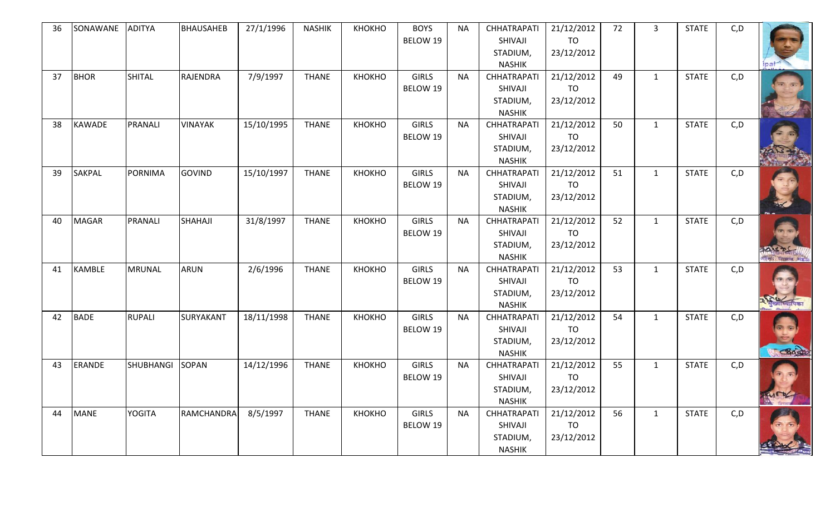| 36 | SONAWANE      | <b>ADITYA</b>    | <b>BHAUSAHEB</b> | 27/1/1996  | <b>NASHIK</b> | KHOKHO | <b>BOYS</b><br><b>BELOW 19</b> | NA        | <b>CHHATRAPATI</b><br>SHIVAJI                              | 21/12/2012<br>TO                      | 72 | $\overline{3}$ | <b>STATE</b> | C, D |   |
|----|---------------|------------------|------------------|------------|---------------|--------|--------------------------------|-----------|------------------------------------------------------------|---------------------------------------|----|----------------|--------------|------|---|
|    |               |                  |                  |            |               |        |                                |           | STADIUM,<br><b>NASHIK</b>                                  | 23/12/2012                            |    |                |              |      |   |
| 37 | <b>BHOR</b>   | <b>SHITAL</b>    | <b>RAJENDRA</b>  | 7/9/1997   | <b>THANE</b>  | КНОКНО | <b>GIRLS</b>                   | <b>NA</b> | <b>CHHATRAPATI</b>                                         | 21/12/2012                            | 49 | $\mathbf{1}$   | <b>STATE</b> | C, D |   |
|    |               |                  |                  |            |               |        | BELOW 19                       |           | SHIVAJI<br>STADIUM,<br><b>NASHIK</b>                       | TO<br>23/12/2012                      |    |                |              |      |   |
| 38 | <b>KAWADE</b> | PRANALI          | <b>VINAYAK</b>   | 15/10/1995 | <b>THANE</b>  | КНОКНО | <b>GIRLS</b><br>BELOW 19       | <b>NA</b> | <b>CHHATRAPATI</b><br>SHIVAJI<br>STADIUM,<br><b>NASHIK</b> | 21/12/2012<br>TO<br>23/12/2012        | 50 | $\mathbf{1}$   | <b>STATE</b> | C, D |   |
| 39 | <b>SAKPAL</b> | PORNIMA          | <b>GOVIND</b>    | 15/10/1997 | <b>THANE</b>  | КНОКНО | <b>GIRLS</b><br>BELOW 19       | <b>NA</b> | <b>CHHATRAPATI</b><br>SHIVAJI<br>STADIUM,<br><b>NASHIK</b> | 21/12/2012<br><b>TO</b><br>23/12/2012 | 51 | $\mathbf{1}$   | <b>STATE</b> | C, D |   |
| 40 | <b>MAGAR</b>  | PRANALI          | SHAHAJI          | 31/8/1997  | <b>THANE</b>  | КНОКНО | <b>GIRLS</b><br>BELOW 19       | <b>NA</b> | <b>CHHATRAPATI</b><br>SHIVAJI<br>STADIUM,<br><b>NASHIK</b> | 21/12/2012<br><b>TO</b><br>23/12/2012 | 52 | $\mathbf{1}$   | <b>STATE</b> | C, D |   |
| 41 | <b>KAMBLE</b> | <b>MRUNAL</b>    | <b>ARUN</b>      | 2/6/1996   | <b>THANE</b>  | КНОКНО | <b>GIRLS</b><br>BELOW 19       | <b>NA</b> | <b>CHHATRAPATI</b><br>SHIVAJI<br>STADIUM,<br><b>NASHIK</b> | 21/12/2012<br><b>TO</b><br>23/12/2012 | 53 | $\mathbf{1}$   | <b>STATE</b> | C, D |   |
| 42 | <b>BADE</b>   | <b>RUPALI</b>    | SURYAKANT        | 18/11/1998 | <b>THANE</b>  | КНОКНО | <b>GIRLS</b><br>BELOW 19       | <b>NA</b> | <b>CHHATRAPATI</b><br>SHIVAJI<br>STADIUM,<br><b>NASHIK</b> | 21/12/2012<br><b>TO</b><br>23/12/2012 | 54 | $\mathbf{1}$   | <b>STATE</b> | C, D | G |
| 43 | ERANDE        | <b>SHUBHANGI</b> | <b>SOPAN</b>     | 14/12/1996 | <b>THANE</b>  | КНОКНО | <b>GIRLS</b><br>BELOW 19       | <b>NA</b> | <b>CHHATRAPATI</b><br>SHIVAJI<br>STADIUM,<br><b>NASHIK</b> | 21/12/2012<br>TO<br>23/12/2012        | 55 | $\mathbf{1}$   | <b>STATE</b> | C, D |   |
| 44 | <b>MANE</b>   | <b>YOGITA</b>    | RAMCHANDRA       | 8/5/1997   | <b>THANE</b>  | КНОКНО | <b>GIRLS</b><br>BELOW 19       | <b>NA</b> | <b>CHHATRAPATI</b><br>SHIVAJI<br>STADIUM,<br><b>NASHIK</b> | 21/12/2012<br>TO<br>23/12/2012        | 56 | $\mathbf{1}$   | <b>STATE</b> | C, D |   |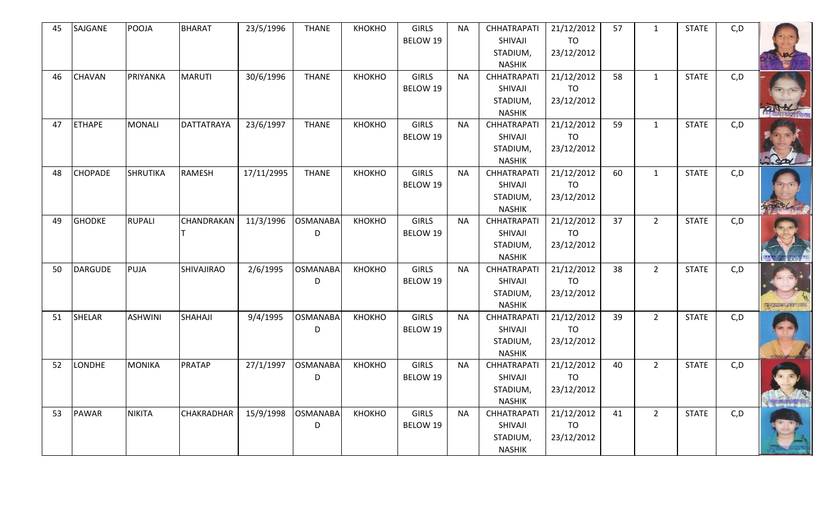| 45 | SAJGANE        | POOJA           | <b>BHARAT</b>     | 23/5/1996  | <b>THANE</b>    | КНОКНО | <b>GIRLS</b> | <b>NA</b> | <b>CHHATRAPATI</b> | 21/12/2012 | 57 | $\mathbf{1}$ | <b>STATE</b> | C, D |                        |
|----|----------------|-----------------|-------------------|------------|-----------------|--------|--------------|-----------|--------------------|------------|----|--------------|--------------|------|------------------------|
|    |                |                 |                   |            |                 |        | BELOW 19     |           | SHIVAJI            | <b>TO</b>  |    |              |              |      |                        |
|    |                |                 |                   |            |                 |        |              |           | STADIUM,           | 23/12/2012 |    |              |              |      |                        |
|    |                |                 |                   |            |                 |        |              |           | <b>NASHIK</b>      |            |    |              |              |      |                        |
| 46 | <b>CHAVAN</b>  | PRIYANKA        | <b>MARUTI</b>     | 30/6/1996  | <b>THANE</b>    | КНОКНО | <b>GIRLS</b> | <b>NA</b> | <b>CHHATRAPATI</b> | 21/12/2012 | 58 | $\mathbf{1}$ | <b>STATE</b> | C, D |                        |
|    |                |                 |                   |            |                 |        | BELOW 19     |           | SHIVAJI            | TO         |    |              |              |      |                        |
|    |                |                 |                   |            |                 |        |              |           | STADIUM,           | 23/12/2012 |    |              |              |      |                        |
|    |                |                 |                   |            |                 |        |              |           | <b>NASHIK</b>      |            |    |              |              |      |                        |
| 47 | <b>ETHAPE</b>  | <b>MONALI</b>   | DATTATRAYA        | 23/6/1997  | <b>THANE</b>    | КНОКНО | <b>GIRLS</b> | <b>NA</b> | <b>CHHATRAPATI</b> | 21/12/2012 | 59 | $\mathbf{1}$ | <b>STATE</b> | C, D |                        |
|    |                |                 |                   |            |                 |        | BELOW 19     |           | SHIVAJI            | TO         |    |              |              |      |                        |
|    |                |                 |                   |            |                 |        |              |           | STADIUM,           | 23/12/2012 |    |              |              |      |                        |
|    |                |                 |                   |            |                 |        |              |           | <b>NASHIK</b>      |            |    |              |              |      |                        |
| 48 | <b>CHOPADE</b> | <b>SHRUTIKA</b> | <b>RAMESH</b>     | 17/11/2995 | <b>THANE</b>    | КНОКНО | <b>GIRLS</b> | <b>NA</b> | <b>CHHATRAPATI</b> | 21/12/2012 | 60 | $\mathbf{1}$ | <b>STATE</b> | C, D |                        |
|    |                |                 |                   |            |                 |        | BELOW 19     |           | SHIVAJI            | <b>TO</b>  |    |              |              |      |                        |
|    |                |                 |                   |            |                 |        |              |           | STADIUM,           | 23/12/2012 |    |              |              |      |                        |
|    |                |                 |                   |            |                 |        |              |           | <b>NASHIK</b>      |            |    |              |              |      |                        |
| 49 | <b>GHODKE</b>  | <b>RUPALI</b>   | CHANDRAKAN        | 11/3/1996  | <b>OSMANABA</b> | КНОКНО | <b>GIRLS</b> | <b>NA</b> | <b>CHHATRAPATI</b> | 21/12/2012 | 37 | $2^{\circ}$  | <b>STATE</b> | C, D |                        |
|    |                |                 |                   |            | D               |        | BELOW 19     |           | SHIVAJI            | TO         |    |              |              |      |                        |
|    |                |                 |                   |            |                 |        |              |           | STADIUM,           | 23/12/2012 |    |              |              |      |                        |
|    |                |                 |                   |            |                 |        |              |           | <b>NASHIK</b>      |            |    |              |              |      |                        |
| 50 | <b>DARGUDE</b> | PUJA            | <b>SHIVAJIRAO</b> | 2/6/1995   | <b>OSMANABA</b> | КНОКНО | <b>GIRLS</b> | <b>NA</b> | <b>CHHATRAPATI</b> | 21/12/2012 | 38 | $2^{\circ}$  | <b>STATE</b> | C, D |                        |
|    |                |                 |                   |            | D               |        | BELOW 19     |           | SHIVAJI            | TO         |    |              |              |      |                        |
|    |                |                 |                   |            |                 |        |              |           | STADIUM,           | 23/12/2012 |    |              |              |      |                        |
|    |                |                 |                   |            |                 |        |              |           | <b>NASHIK</b>      |            |    |              |              |      | <b>BIGGIAN ARTISTS</b> |
| 51 | SHELAR         | <b>ASHWINI</b>  | SHAHAJI           | 9/4/1995   | <b>OSMANABA</b> | КНОКНО | <b>GIRLS</b> | <b>NA</b> | <b>CHHATRAPATI</b> | 21/12/2012 | 39 | $2^{\circ}$  | <b>STATE</b> | C, D |                        |
|    |                |                 |                   |            | D               |        | BELOW 19     |           | SHIVAJI            | <b>TO</b>  |    |              |              |      |                        |
|    |                |                 |                   |            |                 |        |              |           | STADIUM,           | 23/12/2012 |    |              |              |      |                        |
|    |                |                 |                   |            |                 |        |              |           | <b>NASHIK</b>      |            |    |              |              |      |                        |
| 52 | LONDHE         | <b>MONIKA</b>   | PRATAP            | 27/1/1997  | <b>OSMANABA</b> | КНОКНО | <b>GIRLS</b> | <b>NA</b> | <b>CHHATRAPATI</b> | 21/12/2012 | 40 | $2^{\circ}$  | <b>STATE</b> | C, D |                        |
|    |                |                 |                   |            | D               |        | BELOW 19     |           | SHIVAJI            | TO         |    |              |              |      |                        |
|    |                |                 |                   |            |                 |        |              |           | STADIUM,           | 23/12/2012 |    |              |              |      |                        |
|    |                |                 |                   |            |                 |        |              |           | <b>NASHIK</b>      |            |    |              |              |      |                        |
| 53 | PAWAR          | <b>NIKITA</b>   | <b>CHAKRADHAR</b> | 15/9/1998  | <b>OSMANABA</b> | КНОКНО | <b>GIRLS</b> | <b>NA</b> | <b>CHHATRAPATI</b> | 21/12/2012 | 41 | $2^{\circ}$  | <b>STATE</b> | C, D |                        |
|    |                |                 |                   |            | D               |        | BELOW 19     |           | SHIVAJI            | TO         |    |              |              |      |                        |
|    |                |                 |                   |            |                 |        |              |           | STADIUM,           | 23/12/2012 |    |              |              |      |                        |
|    |                |                 |                   |            |                 |        |              |           | <b>NASHIK</b>      |            |    |              |              |      |                        |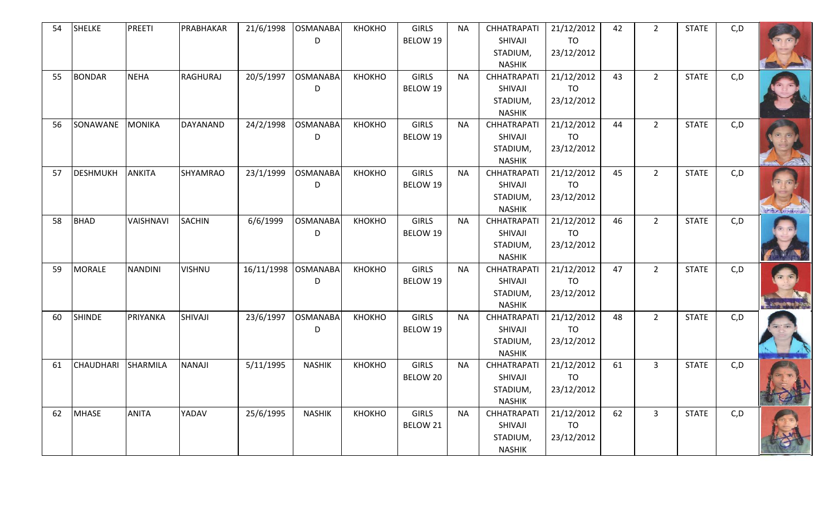| 54 | <b>SHELKE</b>    | <b>PREETI</b>   | PRABHAKAR     | 21/6/1998  | <b>OSMANABA</b><br>D | КНОКНО | <b>GIRLS</b><br>BELOW 19        | <b>NA</b> | <b>CHHATRAPATI</b><br>SHIVAJI<br>STADIUM,<br><b>NASHIK</b> | 21/12/2012<br><b>TO</b><br>23/12/2012 | 42 | $\overline{2}$ | <b>STATE</b> | C, D |                 |
|----|------------------|-----------------|---------------|------------|----------------------|--------|---------------------------------|-----------|------------------------------------------------------------|---------------------------------------|----|----------------|--------------|------|-----------------|
| 55 | <b>BONDAR</b>    | <b>NEHA</b>     | RAGHURAJ      | 20/5/1997  | <b>OSMANABA</b><br>D | КНОКНО | <b>GIRLS</b><br>BELOW 19        | <b>NA</b> | <b>CHHATRAPATI</b><br>SHIVAJI<br>STADIUM,<br><b>NASHIK</b> | 21/12/2012<br><b>TO</b><br>23/12/2012 | 43 | $2^{\circ}$    | <b>STATE</b> | C, D |                 |
| 56 | SONAWANE         | MONIKA          | DAYANAND      | 24/2/1998  | <b>OSMANABA</b><br>D | КНОКНО | <b>GIRLS</b><br>BELOW 19        | <b>NA</b> | <b>CHHATRAPATI</b><br>SHIVAJI<br>STADIUM,<br><b>NASHIK</b> | 21/12/2012<br><b>TO</b><br>23/12/2012 | 44 | $\overline{2}$ | <b>STATE</b> | C, D |                 |
| 57 | <b>DESHMUKH</b>  | ANKITA          | SHYAMRAO      | 23/1/1999  | <b>OSMANABA</b><br>D | КНОКНО | <b>GIRLS</b><br>BELOW 19        | <b>NA</b> | <b>CHHATRAPATI</b><br>SHIVAJI<br>STADIUM,<br><b>NASHIK</b> | 21/12/2012<br><b>TO</b><br>23/12/2012 | 45 | $2^{\circ}$    | <b>STATE</b> | C, D | <b>TAXISTIC</b> |
| 58 | <b>BHAD</b>      | VAISHNAVI       | <b>SACHIN</b> | 6/6/1999   | <b>OSMANABA</b><br>D | КНОКНО | <b>GIRLS</b><br>BELOW 19        | <b>NA</b> | <b>CHHATRAPATI</b><br>SHIVAJI<br>STADIUM,<br><b>NASHIK</b> | 21/12/2012<br><b>TO</b><br>23/12/2012 | 46 | $\overline{2}$ | <b>STATE</b> | C, D |                 |
| 59 | <b>MORALE</b>    | <b>NANDINI</b>  | <b>VISHNU</b> | 16/11/1998 | <b>OSMANABA</b><br>D | КНОКНО | <b>GIRLS</b><br><b>BELOW 19</b> | <b>NA</b> | <b>CHHATRAPATI</b><br>SHIVAJI<br>STADIUM,<br><b>NASHIK</b> | 21/12/2012<br><b>TO</b><br>23/12/2012 | 47 | $\overline{2}$ | <b>STATE</b> | C, D |                 |
| 60 | <b>SHINDE</b>    | PRIYANKA        | SHIVAJI       | 23/6/1997  | <b>OSMANABA</b><br>D | КНОКНО | <b>GIRLS</b><br>BELOW 19        | <b>NA</b> | <b>CHHATRAPATI</b><br>SHIVAJI<br>STADIUM,<br><b>NASHIK</b> | 21/12/2012<br><b>TO</b><br>23/12/2012 | 48 | $2^{\circ}$    | <b>STATE</b> | C, D |                 |
| 61 | <b>CHAUDHARI</b> | <b>SHARMILA</b> | NANAJI        | 5/11/1995  | <b>NASHIK</b>        | КНОКНО | <b>GIRLS</b><br>BELOW 20        | <b>NA</b> | <b>CHHATRAPATI</b><br>SHIVAJI<br>STADIUM,<br><b>NASHIK</b> | 21/12/2012<br><b>TO</b><br>23/12/2012 | 61 | $\overline{3}$ | <b>STATE</b> | C, D |                 |
| 62 | <b>MHASE</b>     | <b>ANITA</b>    | YADAV         | 25/6/1995  | <b>NASHIK</b>        | КНОКНО | <b>GIRLS</b><br>BELOW 21        | <b>NA</b> | <b>CHHATRAPATI</b><br>SHIVAJI<br>STADIUM,<br><b>NASHIK</b> | 21/12/2012<br><b>TO</b><br>23/12/2012 | 62 | $\overline{3}$ | <b>STATE</b> | C, D |                 |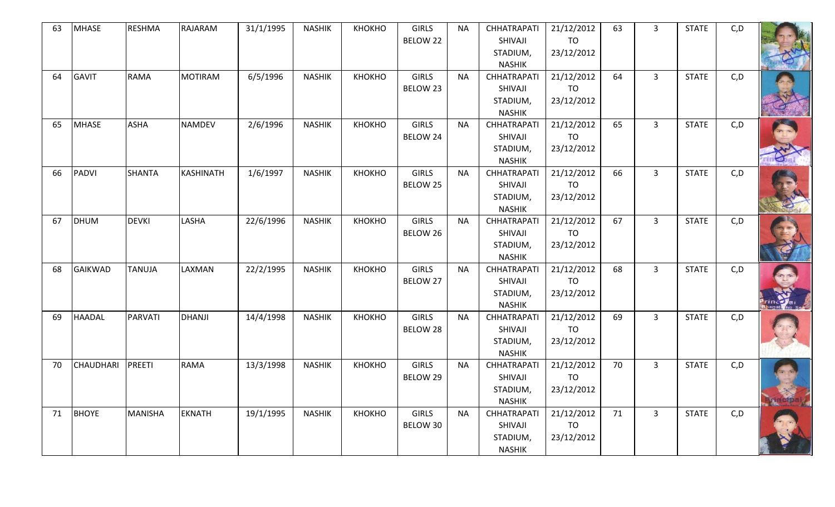| 63 | <b>MHASE</b>     | <b>RESHMA</b>  | RAJARAM        | 31/1/1995 | <b>NASHIK</b> | КНОКНО | <b>GIRLS</b><br>BELOW 22 | <b>NA</b> | <b>CHHATRAPATI</b><br>SHIVAJI<br>STADIUM,<br><b>NASHIK</b> | 21/12/2012<br><b>TO</b><br>23/12/2012 | 63 | $\mathbf{3}$   | <b>STATE</b> | C, D |  |
|----|------------------|----------------|----------------|-----------|---------------|--------|--------------------------|-----------|------------------------------------------------------------|---------------------------------------|----|----------------|--------------|------|--|
| 64 | <b>GAVIT</b>     | <b>RAMA</b>    | <b>MOTIRAM</b> | 6/5/1996  | <b>NASHIK</b> | КНОКНО | <b>GIRLS</b><br>BELOW 23 | <b>NA</b> | <b>CHHATRAPATI</b><br>SHIVAJI<br>STADIUM,<br><b>NASHIK</b> | 21/12/2012<br>TO<br>23/12/2012        | 64 | $\overline{3}$ | <b>STATE</b> | C, D |  |
| 65 | <b>MHASE</b>     | <b>ASHA</b>    | <b>NAMDEV</b>  | 2/6/1996  | <b>NASHIK</b> | КНОКНО | <b>GIRLS</b><br>BELOW 24 | <b>NA</b> | <b>CHHATRAPATI</b><br>SHIVAJI<br>STADIUM,<br><b>NASHIK</b> | 21/12/2012<br><b>TO</b><br>23/12/2012 | 65 | $\overline{3}$ | <b>STATE</b> | C, D |  |
| 66 | <b>PADVI</b>     | <b>SHANTA</b>  | KASHINATH      | 1/6/1997  | <b>NASHIK</b> | КНОКНО | <b>GIRLS</b><br>BELOW 25 | <b>NA</b> | <b>CHHATRAPATI</b><br>SHIVAJI<br>STADIUM,<br><b>NASHIK</b> | 21/12/2012<br>TO<br>23/12/2012        | 66 | $\overline{3}$ | <b>STATE</b> | C, D |  |
| 67 | <b>DHUM</b>      | <b>DEVKI</b>   | LASHA          | 22/6/1996 | <b>NASHIK</b> | КНОКНО | <b>GIRLS</b><br>BELOW 26 | <b>NA</b> | <b>CHHATRAPATI</b><br>SHIVAJI<br>STADIUM,<br><b>NASHIK</b> | 21/12/2012<br>TO<br>23/12/2012        | 67 | $\overline{3}$ | <b>STATE</b> | C, D |  |
| 68 | <b>GAIKWAD</b>   | <b>TANUJA</b>  | LAXMAN         | 22/2/1995 | <b>NASHIK</b> | КНОКНО | <b>GIRLS</b><br>BELOW 27 | <b>NA</b> | <b>CHHATRAPATI</b><br>SHIVAJI<br>STADIUM,<br><b>NASHIK</b> | 21/12/2012<br><b>TO</b><br>23/12/2012 | 68 | $\overline{3}$ | <b>STATE</b> | C, D |  |
| 69 | <b>HAADAL</b>    | PARVATI        | <b>DHANJI</b>  | 14/4/1998 | <b>NASHIK</b> | КНОКНО | <b>GIRLS</b><br>BELOW 28 | <b>NA</b> | <b>CHHATRAPATI</b><br>SHIVAJI<br>STADIUM,<br><b>NASHIK</b> | 21/12/2012<br><b>TO</b><br>23/12/2012 | 69 | $\overline{3}$ | <b>STATE</b> | C, D |  |
| 70 | <b>CHAUDHARI</b> | PREETI         | <b>RAMA</b>    | 13/3/1998 | <b>NASHIK</b> | КНОКНО | <b>GIRLS</b><br>BELOW 29 | <b>NA</b> | <b>CHHATRAPATI</b><br>SHIVAJI<br>STADIUM,<br><b>NASHIK</b> | 21/12/2012<br>TO<br>23/12/2012        | 70 | $\overline{3}$ | <b>STATE</b> | C, D |  |
| 71 | <b>BHOYE</b>     | <b>MANISHA</b> | <b>EKNATH</b>  | 19/1/1995 | <b>NASHIK</b> | КНОКНО | <b>GIRLS</b><br>BELOW 30 | <b>NA</b> | <b>CHHATRAPATI</b><br>SHIVAJI<br>STADIUM,<br><b>NASHIK</b> | 21/12/2012<br><b>TO</b><br>23/12/2012 | 71 | $\overline{3}$ | <b>STATE</b> | C, D |  |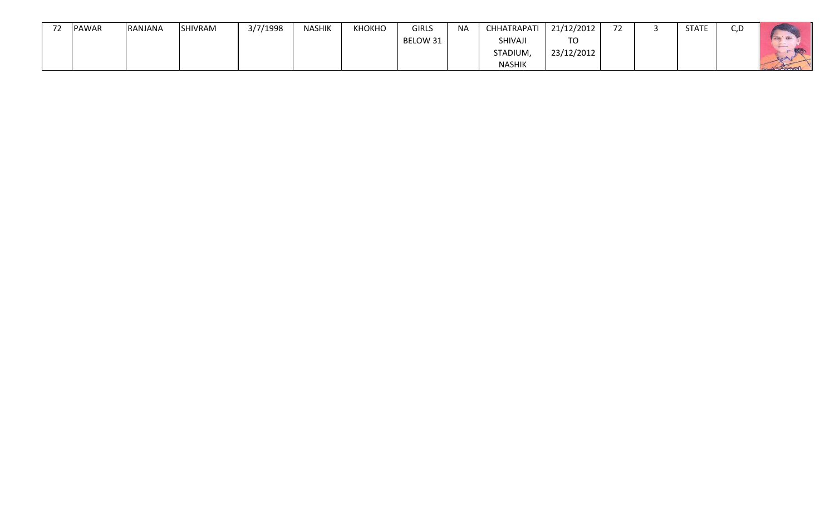| PAWAR | RANJANA | <b>SHIVRAM</b> | 3/7/1998 | <b>NASHIK</b> | КНОКНО | <b>GIRLS</b> | <b>NA</b> | <b>CHHATRAPATI</b> | 21/12/2012 | $\overline{\phantom{a}}$<br>∼ | <b>STATE</b> | $\sim$ $\sim$<br>ر. |   |
|-------|---------|----------------|----------|---------------|--------|--------------|-----------|--------------------|------------|-------------------------------|--------------|---------------------|---|
|       |         |                |          |               |        | BELOW 31     |           | SHIVAJI            | <b>TO</b>  |                               |              |                     |   |
|       |         |                |          |               |        |              |           | STADIUM,           | 23/12/2012 |                               |              |                     | - |
|       |         |                |          |               |        |              |           | <b>NASHIK</b>      |            |                               |              |                     | . |